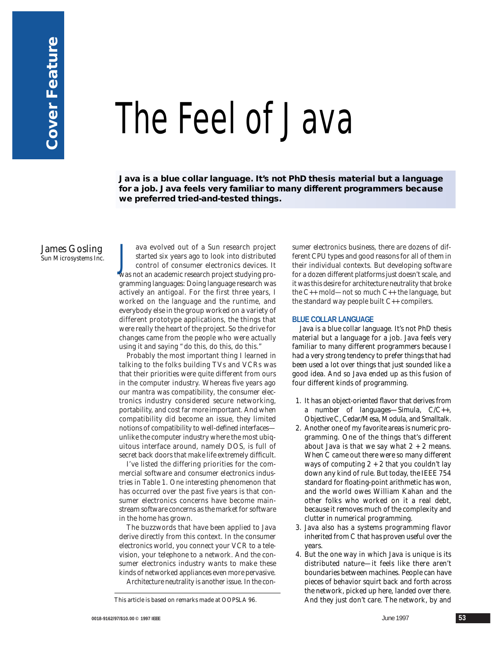# The Feel of Java

**Java is a blue collar language. It's not PhD thesis material but a language for a job. Java feels very familiar to many different programmers because we preferred tried-and-tested things.**

*James Gosling*  Sun Microsystems Inc.

J ava evolved out of a Sun research project started six years ago to look into distributed control of consumer electronics devices. It was not an academic research project studying programming languages: Doing language research was actively an antigoal. For the first three years, I worked on the language and the runtime, and everybody else in the group worked on a variety of different prototype applications, the things that were really the heart of the project. So the drive for changes came from the people who were actually using it and saying "do this, do this, do this."

Probably the most important thing I learned in talking to the folks building TVs and VCRs was that their priorities were quite different from ours in the computer industry. Whereas five years ago our mantra was *compatibility*, the consumer electronics industry considered secure networking, portability, and cost far more important. And when compatibility did become an issue, they limited notions of compatibility to well-defined interfaces unlike the computer industry where the most ubiquitous interface around, namely DOS, is full of secret back doors that make life extremely difficult.

I've listed the differing priorities for the commercial software and consumer electronics industries in Table 1. One interesting phenomenon that has occurred over the past five years is that consumer electronics concerns have become mainstream software concerns as the market for software in the home has grown.

The buzzwords that have been applied to Java derive directly from this context. In the consumer electronics world, you connect your VCR to a television, your telephone to a network. And the consumer electronics industry wants to make these kinds of networked appliances even more pervasive.

Architecture neutrality is another issue. In the con-

sumer electronics business, there are dozens of different CPU types and good reasons for all of them in their individual contexts. But developing software for a dozen different platforms just doesn't scale, and it was this desire for architecture neutrality that broke the C++ mold—not so much C++ the language, but the standard way people built C++ compilers.

#### **BLUE COLLAR LANGUAGE**

Java is a blue collar language. It's not PhD thesis material but a language for a job. Java feels very familiar to many different programmers because I had a very strong tendency to prefer things that had been used a lot over things that just sounded like a good idea. And so Java ended up as this fusion of four different kinds of programming.

- 1. It has an object-oriented flavor that derives from a number of languages—Simula, C/C++, Objective C, Cedar/Mesa, Modula, and Smalltalk.
- 2. Another one of my favorite areas is numeric programming. One of the things that's different about Java is that we say what  $2 + 2$  means. When C came out there were so many different ways of computing  $2 + 2$  that you couldn't lay down any kind of rule. But today, the IEEE 754 standard for floating-point arithmetic has won, and the world owes William Kahan and the other folks who worked on it a real debt, because it removes much of the complexity and clutter in numerical programming.
- 3. Java also has a systems programming flavor inherited from C that has proven useful over the years.
- 4. But the one way in which Java is unique is its distributed nature—it feels like there aren't boundaries between machines. People can have pieces of behavior squirt back and forth across the network, picked up here, landed over there. And they just don't care. The network, by and

This article is based on remarks made at OOPSLA 96.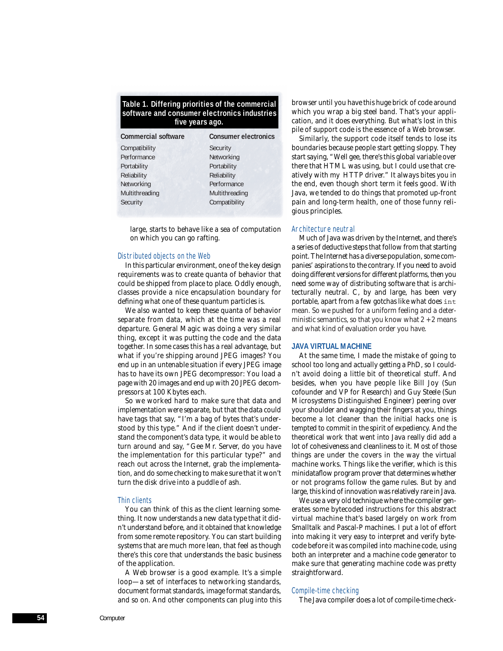| Table 1. Differing priorities of the commercial<br>software and consumer electronics industries<br>five years ago. |                             |
|--------------------------------------------------------------------------------------------------------------------|-----------------------------|
| <b>Commercial software</b>                                                                                         | <b>Consumer electronics</b> |

| Compatibility  | Security       |  |
|----------------|----------------|--|
| Performance    | Networking     |  |
| Portability    | Portability    |  |
| Reliability    | Reliability    |  |
| Networking     | Performance    |  |
| Multithreading | Multithreading |  |
| Security       | Compatibility  |  |
|                |                |  |

large, starts to behave like a sea of computation on which you can go rafting.

#### Distributed objects on the Web

In this particular environment, one of the key design requirements was to create quanta of behavior that could be shipped from place to place. Oddly enough, classes provide a nice encapsulation boundary for defining what one of these quantum particles is.

We also wanted to keep these quanta of behavior separate from data, which at the time was a real departure. General Magic was doing a very similar thing, except it was putting the code and the data together. In some cases this has a real advantage, but what if you're shipping around JPEG images? You end up in an untenable situation if every JPEG image has to have its own JPEG decompressor: You load a page with 20 images and end up with 20 JPEG decompressors at 100 Kbytes each.

So we worked hard to make sure that data and implementation were separate, but that the data could have tags that say, "I'm a bag of bytes that's understood by this type." And if the client doesn't understand the component's data type, it would be able to turn around and say, "Gee Mr. Server, do you have the implementation for this particular type?" and reach out across the Internet, grab the implementation, and do some checking to make sure that it won't turn the disk drive into a puddle of ash.

#### Thin clients

You can think of this as the client learning something. It now understands a new data type that it didn't understand before, and it obtained that knowledge from some remote repository. You can start building systems that are much more lean, that feel as though there's this core that understands the basic business of the application.

A Web browser is a good example. It's a simple loop—a set of interfaces to networking standards, document format standards, image format standards, and so on. And other components can plug into this browser until you have this huge brick of code around which you wrap a big steel band. That's your application, and it does everything. But what's lost in this pile of support code is the essence of a Web browser.

Similarly, the support code itself tends to lose its boundaries because people start getting sloppy. They start saying, "Well gee, there's this global variable over there that HTML was using, but I could use that creatively with my HTTP driver." It always bites you in the end, even though short term it feels good. With Java, we tended to do things that promoted up-front pain and long-term health, one of those funny religious principles.

#### Architecture neutral

Much of Java was driven by the Internet, and there's a series of deductive steps that follow from that starting point. The Internet has a diverse population, some companies' aspirations to the contrary. If you need to avoid doing different versions for different platforms, then you need some way of distributing software that is architecturally neutral. C, by and large, has been very portable, apart from a few gotchas like what does **int** mean. So we pushed for a uniform feeling and a deterministic semantics, so that you know what  $2 + 2$  means and what kind of evaluation order you have.

#### **JAVA VIRTUAL MACHINE**

At the same time, I made the mistake of going to school too long and actually getting a PhD, so I couldn't avoid doing a little bit of theoretical stuff. And besides, when you have people like Bill Joy (Sun cofounder and VP for Research) and Guy Steele (Sun Microsystems Distinguished Engineer) peering over your shoulder and wagging their fingers at you, things become a lot cleaner than the initial hacks one is tempted to commit in the spirit of expediency. And the theoretical work that went into Java really did add a lot of cohesiveness and cleanliness to it. Most of those things are under the covers in the way the virtual machine works. Things like the verifier, which is this minidataflow program prover that determines whether or not programs follow the game rules. But by and large, this kind of innovation was relatively rare in Java.

We use a very old technique where the compiler generates some bytecoded instructions for this abstract virtual machine that's based largely on work from Smalltalk and Pascal-P machines. I put a lot of effort into making it very easy to interpret and verify bytecode before it was compiled into machine code, using both an interpreter and a machine code generator to make sure that generating machine code was pretty straightforward.

#### Compile-time checking

The Java compiler does a lot of compile-time check-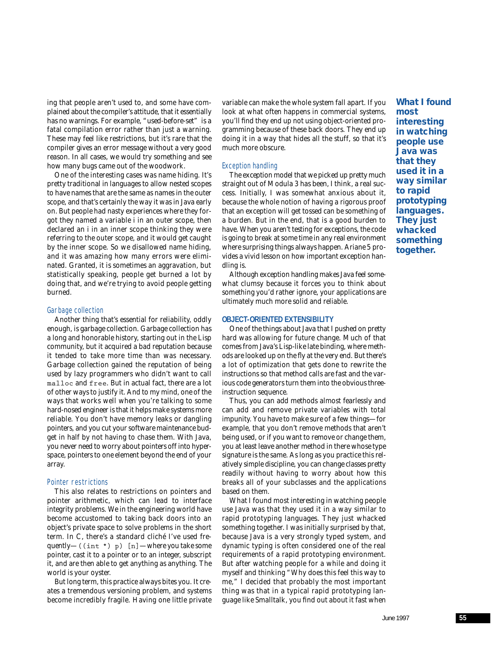ing that people aren't used to, and some have complained about the compiler's attitude, that it essentially has no warnings. For example, "used-before-set" is a fatal compilation error rather than just a warning. These may feel like restrictions, but it's rare that the compiler gives an error message without a very good reason. In all cases, we would try something and see how many bugs came out of the woodwork.

One of the interesting cases was name hiding. It's pretty traditional in languages to allow nested scopes to have names that are the same as names in the outer scope, and that's certainly the way it was in Java early on. But people had nasty experiences where they forgot they named a variable *i* in an outer scope, then declared an *i* in an inner scope thinking they were referring to the outer scope, and it would get caught by the inner scope. So we disallowed name hiding, and it was amazing how many errors were eliminated. Granted, it is sometimes an aggravation, but statistically speaking, people get burned a lot by doing that, and we're trying to avoid people getting burned.

#### Garbage collection

Another thing that's essential for reliability, oddly enough, is garbage collection. Garbage collection has a long and honorable history, starting out in the Lisp community, but it acquired a bad reputation because it tended to take more time than was necessary. Garbage collection gained the reputation of being used by lazy programmers who didn't want to call **malloc** and **free**. But in actual fact, there are a lot of other ways to justify it. And to my mind, one of the ways that works well when you're talking to some hard-nosed engineer is that it helps make systems more reliable. You don't have memory leaks or dangling pointers, and you cut your software maintenance budget in half by not having to chase them. With Java, you never need to worry about pointers off into hyperspace, pointers to one element beyond the end of your array.

#### Pointer restrictions

This also relates to restrictions on pointers and pointer arithmetic, which can lead to interface integrity problems. We in the engineering world have become accustomed to taking back doors into an object's private space to solve problems in the short term. In C, there's a standard cliché I've used frequently—**((int \*) p) [n]**—where you take some pointer, cast it to a pointer or to an integer, subscript it, and are then able to get anything as anything. The world is your oyster.

But long term, this practice always bites you. It creates a tremendous versioning problem, and systems become incredibly fragile. Having one little private

variable can make the whole system fall apart. If you look at what often happens in commercial systems, you'll find they end up not using object-oriented programming because of these back doors. They end up doing it in a way that hides all the stuff, so that it's much more obscure.

#### Exception handling

The exception model that we picked up pretty much straight out of Modula 3 has been, I think, a real success. Initially, I was somewhat anxious about it, because the whole notion of having a rigorous proof that an exception will get tossed can be something of a burden. But in the end, that is a good burden to have. When you aren't testing for exceptions, the code is going to break at some time in any real environment where surprising things always happen. Ariane 5 provides a vivid lesson on how important exception handling is.

Although exception handling makes Java feel somewhat clumsy because it forces you to think about something you'd rather ignore, your applications are ultimately much more solid and reliable.

#### **OBJECT-ORIENTED EXTENSIBILITY**

One of the things about Java that I pushed on pretty hard was allowing for future change. Much of that comes from Java's Lisp-like late binding, where methods are looked up on the fly at the very end. But there's a lot of optimization that gets done to rewrite the instructions so that method calls are fast and the various code generators turn them into the obvious threeinstruction sequence.

Thus, you can add methods almost fearlessly and can add and remove private variables with total impunity. You have to make sure of a few things—for example, that you don't remove methods that aren't being used, or if you want to remove or change them, you at least leave another method in there whose type signature is the same. As long as you practice this relatively simple discipline, you can change classes pretty readily without having to worry about how this breaks all of your subclasses and the applications based on them.

What I found most interesting in watching people use Java was that they used it in a way similar to rapid prototyping languages. They just whacked something together. I was initially surprised by that, because Java is a very strongly typed system, and dynamic typing is often considered one of the real requirements of a rapid prototyping environment. But after watching people for a while and doing it myself and thinking "Why does this feel this way to me," I decided that probably the most important thing was that in a typical rapid prototyping language like Smalltalk, you find out about it fast when **What I found most interesting in watching people use Java was that they used it in a way similar to rapid prototyping languages. They just whacked something together.**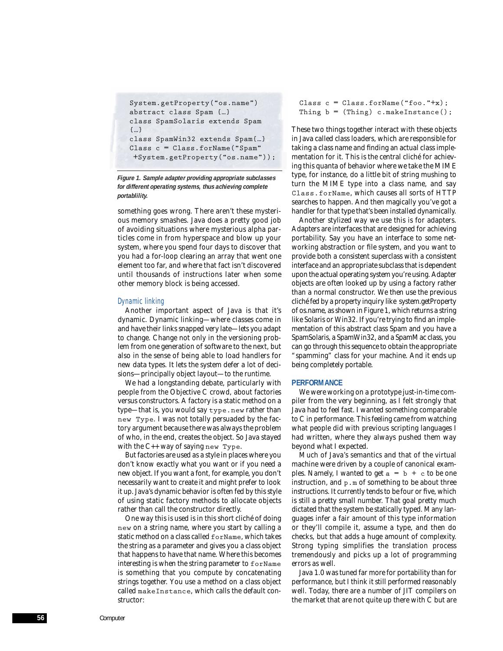```
System.getProperty("os.name")
abstract class Spam {…}
class SpamSolaris extends Spam
{…}
class SpamWin32 extends Spam{…}
Class c = Class.forName("Spam"
+System.getProperty("os.name"));
```
**Figure 1. Sample adapter providing appropriate subclasses for different operating systems, thus achieving complete portablility.**

something goes wrong. There aren't these mysterious memory smashes. Java does a pretty good job of avoiding situations where mysterious alpha particles come in from hyperspace and blow up your system, where you spend four days to discover that you had a for-loop clearing an array that went one element too far, and where that fact isn't discovered until thousands of instructions later when some other memory block is being accessed.

#### Dynamic linking

Another important aspect of Java is that it's dynamic. Dynamic linking—where classes come in and have their links snapped very late—lets you adapt to change. Change not only in the versioning problem from one generation of software to the next, but also in the sense of being able to load handlers for new data types. It lets the system defer a lot of decisions—principally object layout—to the runtime.

We had a longstanding debate, particularly with people from the Objective C crowd, about factories versus constructors. A factory is a static method on a type—that is, you would say **type.new** rather than **new Type**. I was not totally persuaded by the factory argument because there was always the problem of who, in the end, creates the object. So Java stayed with the C++ way of saying **new Type**.

But factories are used as a style in places where you don't know exactly what you want or if you need a new object. If you want a font, for example, you don't necessarily want to create it and might prefer to look it up. Java's dynamic behavior is often fed by this style of using static factory methods to allocate objects rather than call the constructor directly.

One way this is used is in this short cliché of doing **new** on a string name, where you start by calling a static method on a class called **forName**, which takes the string as a parameter and gives you a class object that happens to have that name. Where this becomes interesting is when the string parameter to **forName** is something that you compute by concatenating strings together. You use a method on a class object called **makeInstance**, which calls the default constructor:

**Class c = Class.forName("foo."+x); Thing b = (Thing) c.makeInstance();**

These two things together interact with these objects in Java called class loaders, which are responsible for taking a class name and finding an actual class implementation for it. This is the central cliché for achieving this quanta of behavior where we take the MIME type, for instance, do a little bit of string mushing to turn the MIME type into a class name, and say **Class.forName**, which causes all sorts of HTTP searches to happen. And then magically you've got a handler for that type that's been installed dynamically.

Another stylized way we use this is for adapters. Adapters are interfaces that are designed for achieving portability. Say you have an interface to some networking abstraction or file system, and you want to provide both a consistent superclass with a consistent interface and an appropriate subclass that is dependent upon the actual operating system you're using. Adapter objects are often looked up by using a factory rather than a normal constructor. We then use the previous cliché fed by a property inquiry like system.getProperty of os.name, as shown in Figure 1, which returns a string like Solaris or Win32. If you're trying to find an implementation of this abstract class Spam and you have a SpamSolaris, a SpamWin32, and a SpamMac class, you can go through this sequence to obtain the appropriate "spamming" class for your machine. And it ends up being completely portable.

#### **PERFORMANCE**

We were working on a prototype just-in-time compiler from the very beginning, as I felt strongly that Java had to feel fast. I wanted something comparable to C in performance. This feeling came from watching what people did with previous scripting languages I had written, where they always pushed them way beyond what I expected.

Much of Java's semantics and that of the virtual machine were driven by a couple of canonical examples. Namely, I wanted to get  $a = b + c$  to be one instruction, and **p.m** of something to be about three instructions. It currently tends to be four or five, which is still a pretty small number. That goal pretty much dictated that the system be statically typed. Many languages infer a fair amount of this type information or they'll compile it, assume a type, and then do checks, but that adds a huge amount of complexity. Strong typing simplifies the translation process tremendously and picks up a lot of programming errors as well.

Java 1.0 was tuned far more for portability than for performance, but I think it still performed reasonably well. Today, there are a number of JIT compilers on the market that are not quite up there with C but are